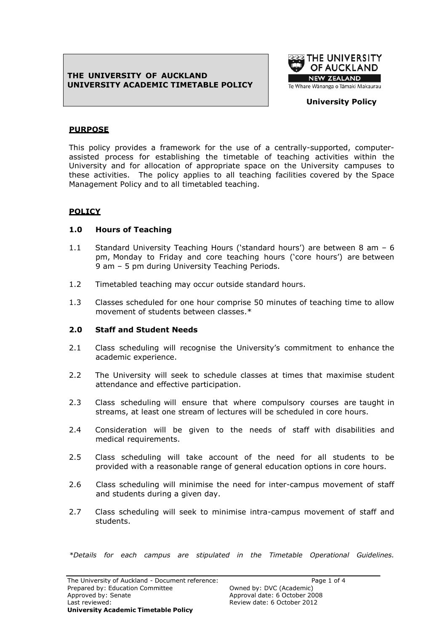## **THE UNIVERSITY OF AUCKLAND UNIVERSITY ACADEMIC TIMETABLE POLICY**



### **University Policy**

## **PURPOSE**

This policy provides a framework for the use of a centrally-supported, computerassisted process for establishing the timetable of teaching activities within the University and for allocation of appropriate space on the University campuses to these activities. The policy applies to all teaching facilities covered by the Space Management Policy and to all timetabled teaching.

# **POLICY**

## **1.0 Hours of Teaching**

- 1.1 Standard University Teaching Hours ("standard hours") are between 8 am 6 pm, Monday to Friday and core teaching hours ("core hours") are between 9 am – 5 pm during University Teaching Periods.
- 1.2 Timetabled teaching may occur outside standard hours.
- 1.3 Classes scheduled for one hour comprise 50 minutes of teaching time to allow movement of students between classes.\*

### **2.0 Staff and Student Needs**

- 2.1 Class scheduling will recognise the University's commitment to enhance the academic experience.
- 2.2 The University will seek to schedule classes at times that maximise student attendance and effective participation.
- 2.3 Class scheduling will ensure that where compulsory courses are taught in streams, at least one stream of lectures will be scheduled in core hours.
- 2.4 Consideration will be given to the needs of staff with disabilities and medical requirements.
- 2.5 Class scheduling will take account of the need for all students to be provided with a reasonable range of general education options in core hours.
- 2.6 Class scheduling will minimise the need for inter-campus movement of staff and students during a given day.
- 2.7 Class scheduling will seek to minimise intra-campus movement of staff and students.

*\*Details for each campus are stipulated in the Timetable Operational Guidelines.*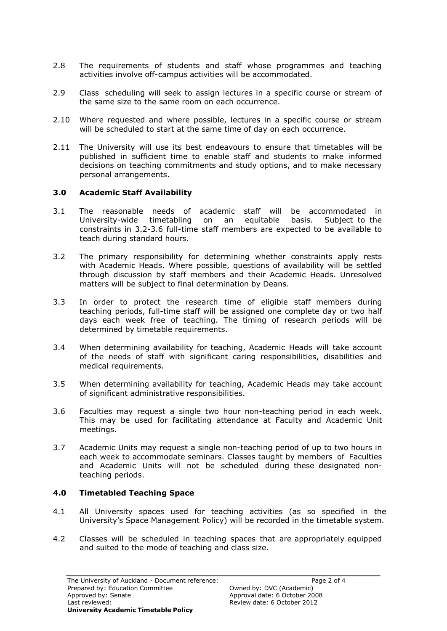- 2.8 The requirements of students and staff whose programmes and teaching activities involve off-campus activities will be accommodated.
- 2.9 Class scheduling will seek to assign lectures in a specific course or stream of the same size to the same room on each occurrence.
- 2.10 Where requested and where possible, lectures in a specific course or stream will be scheduled to start at the same time of day on each occurrence.
- 2.11 The University will use its best endeavours to ensure that timetables will be published in sufficient time to enable staff and students to make informed decisions on teaching commitments and study options, and to make necessary personal arrangements.

### **3.0 Academic Staff Availability**

- 3.1 The reasonable needs of academic staff will be accommodated in University-wide timetabling on an equitable basis. Subject to the constraints in 3.2-3.6 full-time staff members are expected to be available to teach during standard hours.
- 3.2 The primary responsibility for determining whether constraints apply rests with Academic Heads. Where possible, questions of availability will be settled through discussion by staff members and their Academic Heads. Unresolved matters will be subject to final determination by Deans.
- 3.3 In order to protect the research time of eligible staff members during teaching periods, full-time staff will be assigned one complete day or two half days each week free of teaching. The timing of research periods will be determined by timetable requirements.
- 3.4 When determining availability for teaching, Academic Heads will take account of the needs of staff with significant caring responsibilities, disabilities and medical requirements.
- 3.5 When determining availability for teaching, Academic Heads may take account of significant administrative responsibilities.
- 3.6 Faculties may request a single two hour non-teaching period in each week. This may be used for facilitating attendance at Faculty and Academic Unit meetings.
- 3.7 Academic Units may request a single non-teaching period of up to two hours in each week to accommodate seminars. Classes taught by members of Faculties and Academic Units will not be scheduled during these designated nonteaching periods.

#### **4.0 Timetabled Teaching Space**

- 4.1 All University spaces used for teaching activities (as so specified in the University"s Space Management Policy) will be recorded in the timetable system.
- 4.2 Classes will be scheduled in teaching spaces that are appropriately equipped and suited to the mode of teaching and class size.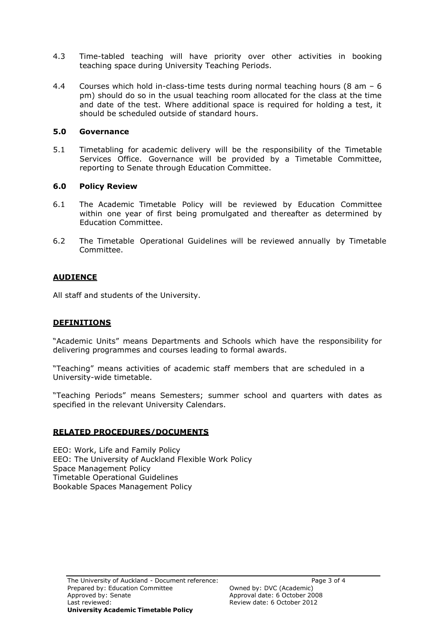- 4.3 Time-tabled teaching will have priority over other activities in booking teaching space during University Teaching Periods.
- 4.4 Courses which hold in-class-time tests during normal teaching hours  $(8 \text{ am } -6)$ pm) should do so in the usual teaching room allocated for the class at the time and date of the test. Where additional space is required for holding a test, it should be scheduled outside of standard hours.

### **5.0 Governance**

5.1 Timetabling for academic delivery will be the responsibility of the Timetable Services Office. Governance will be provided by a Timetable Committee, reporting to Senate through Education Committee.

## **6.0 Policy Review**

- 6.1 The Academic Timetable Policy will be reviewed by Education Committee within one year of first being promulgated and thereafter as determined by Education Committee.
- 6.2 The Timetable Operational Guidelines will be reviewed annually by Timetable Committee.

## **AUDIENCE**

All staff and students of the University.

## **DEFINITIONS**

"Academic Units" means Departments and Schools which have the responsibility for delivering programmes and courses leading to formal awards.

"Teaching" means activities of academic staff members that are scheduled in a University-wide timetable.

"Teaching Periods" means Semesters; summer school and quarters with dates as specified in the relevant University Calendars.

### **RELATED PROCEDURES/DOCUMENTS**

EEO: Work, Life and Family Policy EEO: The University of Auckland Flexible Work Policy Space Management Policy Timetable Operational Guidelines Bookable Spaces Management Policy